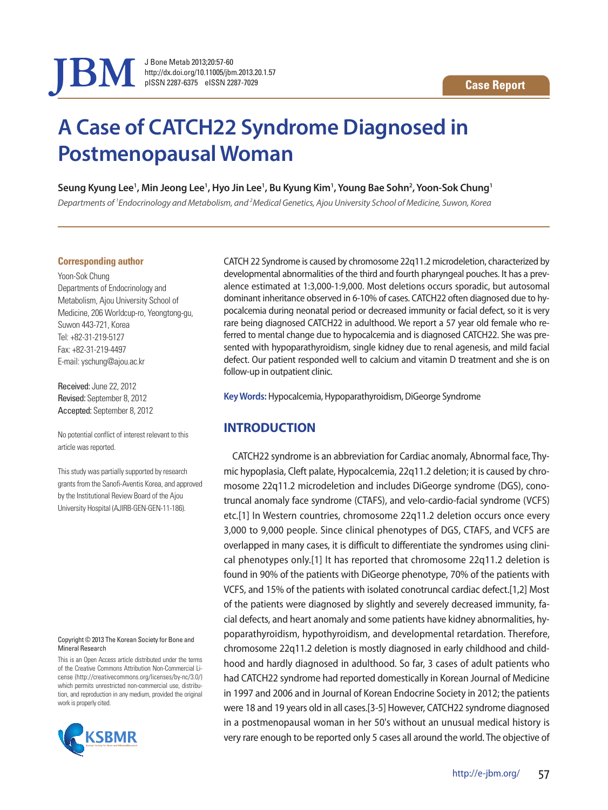

J Bone Metab 2013;20:57-60 http://dx.doi.org/10.11005/jbm.2013.20.1.57 pISSN 2287-6375 eISSN 2287-7029

# **A Case of CATCH22 Syndrome Diagnosed in Postmenopausal Woman**

<code>Seung</code> <code>Kyung</code> Lee $^1$ , Min Jeong Lee $^1$ , Hyo Jin Lee $^1$ , Bu Kyung Kim $^1$ , Young Bae Sohn $^2$ , Yoon-Sok Chung $^1$ 

*Departments of 1 Endocrinology and Metabolism, and 2 Medical Genetics, Ajou University School of Medicine, Suwon, Korea*

#### **Corresponding author**

Yoon-Sok Chung Departments of Endocrinology and Metabolism, Ajou University School of Medicine, 206 Worldcup-ro, Yeongtong-gu, Suwon 443-721, Korea Tel: +82-31-219-5127 Fax: +82-31-219-4497 E-mail: yschung@ajou.ac.kr

Received: June 22, 2012 Revised: September 8, 2012 Accepted: September 8, 2012

No potential conflict of interest relevant to this article was reported.

This study was partially supported by research grants from the Sanofi-Aventis Korea, and approved by the Institutional Review Board of the Ajou University Hospital (AJIRB-GEN-GEN-11-186).

#### Copyright © 2013 The Korean Society for Bone and Mineral Research

This is an Open Access article distributed under the terms of the Creative Commons Attribution Non-Commercial License (http://creativecommons.org/licenses/by-nc/3.0/) which permits unrestricted non-commercial use, distribution, and reproduction in any medium, provided the original work is properly cited.



CATCH 22 Syndrome is caused by chromosome 22q11.2 microdeletion, characterized by developmental abnormalities of the third and fourth pharyngeal pouches. It has a prevalence estimated at 1:3,000-1:9,000. Most deletions occurs sporadic, but autosomal dominant inheritance observed in 6-10% of cases. CATCH22 often diagnosed due to hypocalcemia during neonatal period or decreased immunity or facial defect, so it is very rare being diagnosed CATCH22 in adulthood. We report a 57 year old female who referred to mental change due to hypocalcemia and is diagnosed CATCH22. She was presented with hypoparathyroidism, single kidney due to renal agenesis, and mild facial defect. Our patient responded well to calcium and vitamin D treatment and she is on follow-up in outpatient clinic.

**Key Words:** Hypocalcemia, Hypoparathyroidism, DiGeorge Syndrome

# **INTRODUCTION**

CATCH22 syndrome is an abbreviation for Cardiac anomaly, Abnormal face, Thymic hypoplasia, Cleft palate, Hypocalcemia, 22q11.2 deletion; it is caused by chromosome 22q11.2 microdeletion and includes DiGeorge syndrome (DGS), conotruncal anomaly face syndrome (CTAFS), and velo-cardio-facial syndrome (VCFS) etc.[1] In Western countries, chromosome 22q11.2 deletion occurs once every 3,000 to 9,000 people. Since clinical phenotypes of DGS, CTAFS, and VCFS are overlapped in many cases, it is difficult to differentiate the syndromes using clinical phenotypes only.[1] It has reported that chromosome 22q11.2 deletion is found in 90% of the patients with DiGeorge phenotype, 70% of the patients with VCFS, and 15% of the patients with isolated conotruncal cardiac defect.[1,2] Most of the patients were diagnosed by slightly and severely decreased immunity, facial defects, and heart anomaly and some patients have kidney abnormalities, hypoparathyroidism, hypothyroidism, and developmental retardation. Therefore, chromosome 22q11.2 deletion is mostly diagnosed in early childhood and childhood and hardly diagnosed in adulthood. So far, 3 cases of adult patients who had CATCH22 syndrome had reported domestically in Korean Journal of Medicine in 1997 and 2006 and in Journal of Korean Endocrine Society in 2012; the patients were 18 and 19 years old in all cases.[3-5] However, CATCH22 syndrome diagnosed in a postmenopausal woman in her 50's without an unusual medical history is very rare enough to be reported only 5 cases all around the world. The objective of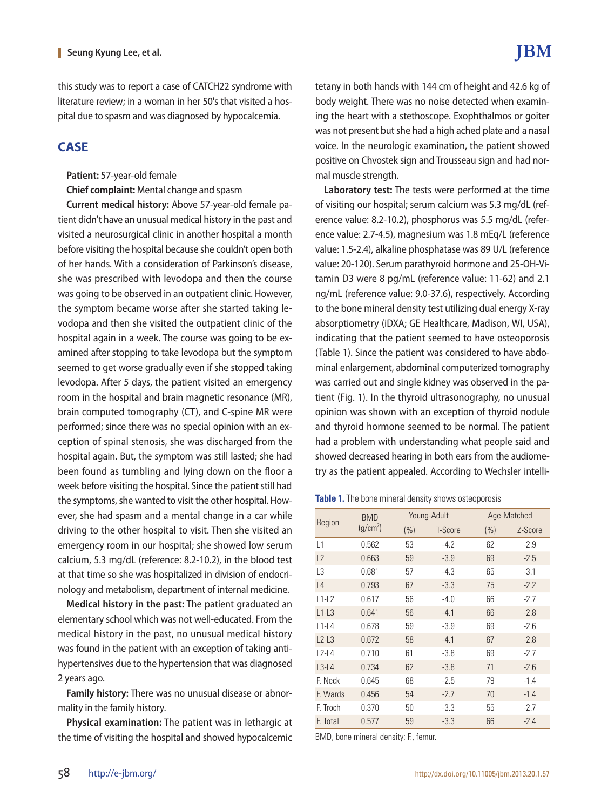this study was to report a case of CATCH22 syndrome with literature review; in a woman in her 50's that visited a hospital due to spasm and was diagnosed by hypocalcemia.

### **CASE**

#### **Patient:** 57-year-old female

**Chief complaint:** Mental change and spasm

**Current medical history:** Above 57-year-old female patient didn't have an unusual medical history in the past and visited a neurosurgical clinic in another hospital a month before visiting the hospital because she couldn't open both of her hands. With a consideration of Parkinson's disease, she was prescribed with levodopa and then the course was going to be observed in an outpatient clinic. However, the symptom became worse after she started taking levodopa and then she visited the outpatient clinic of the hospital again in a week. The course was going to be examined after stopping to take levodopa but the symptom seemed to get worse gradually even if she stopped taking levodopa. After 5 days, the patient visited an emergency room in the hospital and brain magnetic resonance (MR), brain computed tomography (CT), and C-spine MR were performed; since there was no special opinion with an exception of spinal stenosis, she was discharged from the hospital again. But, the symptom was still lasted; she had been found as tumbling and lying down on the floor a week before visiting the hospital. Since the patient still had the symptoms, she wanted to visit the other hospital. However, she had spasm and a mental change in a car while driving to the other hospital to visit. Then she visited an emergency room in our hospital; she showed low serum calcium, 5.3 mg/dL (reference: 8.2-10.2), in the blood test at that time so she was hospitalized in division of endocrinology and metabolism, department of internal medicine.

**Medical history in the past:** The patient graduated an elementary school which was not well-educated. From the medical history in the past, no unusual medical history was found in the patient with an exception of taking antihypertensives due to the hypertension that was diagnosed 2 years ago.

**Family history:** There was no unusual disease or abnormality in the family history.

**Physical examination:** The patient was in lethargic at the time of visiting the hospital and showed hypocalcemic tetany in both hands with 144 cm of height and 42.6 kg of body weight. There was no noise detected when examining the heart with a stethoscope. Exophthalmos or goiter was not present but she had a high ached plate and a nasal voice. In the neurologic examination, the patient showed positive on Chvostek sign and Trousseau sign and had normal muscle strength.

**Laboratory test:** The tests were performed at the time of visiting our hospital; serum calcium was 5.3 mg/dL (reference value: 8.2-10.2), phosphorus was 5.5 mg/dL (reference value: 2.7-4.5), magnesium was 1.8 mEq/L (reference value: 1.5-2.4), alkaline phosphatase was 89 U/L (reference value: 20-120). Serum parathyroid hormone and 25-OH-Vitamin D3 were 8 pg/mL (reference value: 11-62) and 2.1 ng/mL (reference value: 9.0-37.6), respectively. According to the bone mineral density test utilizing dual energy X-ray absorptiometry (iDXA; GE Healthcare, Madison, WI, USA), indicating that the patient seemed to have osteoporosis (Table 1). Since the patient was considered to have abdominal enlargement, abdominal computerized tomography was carried out and single kidney was observed in the patient (Fig. 1). In the thyroid ultrasonography, no unusual opinion was shown with an exception of thyroid nodule and thyroid hormone seemed to be normal. The patient had a problem with understanding what people said and showed decreased hearing in both ears from the audiometry as the patient appealed. According to Wechsler intelli-

**Table 1.** The bone mineral density shows osteoporosis

| Region         | <b>BMD</b><br>(g/cm <sup>2</sup> ) | Young-Adult |         | Age-Matched |         |
|----------------|------------------------------------|-------------|---------|-------------|---------|
|                |                                    | (%)         | T-Score | (% )        | Z-Score |
| L1             | 0.562                              | 53          | $-4.2$  | 62          | $-2.9$  |
| L2             | 0.663                              | 59          | $-3.9$  | 69          | $-2.5$  |
| L <sub>3</sub> | 0.681                              | 57          | $-4.3$  | 65          | $-3.1$  |
| $\lfloor 4$    | 0.793                              | 67          | $-3.3$  | 75          | $-2.2$  |
| $L1-L2$        | 0.617                              | 56          | $-4.0$  | 66          | $-2.7$  |
| $L1-L3$        | 0.641                              | 56          | $-4.1$  | 66          | $-2.8$  |
| $L1-L4$        | 0.678                              | 59          | $-3.9$  | 69          | $-2.6$  |
| $L2-L3$        | 0.672                              | 58          | $-4.1$  | 67          | $-2.8$  |
| $12 - 4$       | 0.710                              | 61          | $-3.8$  | 69          | $-2.7$  |
| $L3-L4$        | 0.734                              | 62          | $-3.8$  | 71          | $-2.6$  |
| F. Neck        | 0.645                              | 68          | $-2.5$  | 79          | $-1.4$  |
| F. Wards       | 0.456                              | 54          | $-2.7$  | 70          | $-1.4$  |
| F. Troch       | 0.370                              | 50          | $-3.3$  | 55          | $-2.7$  |
| F. Total       | 0.577                              | 59          | $-3.3$  | 66          | $-2.4$  |

BMD, bone mineral density; F., femur.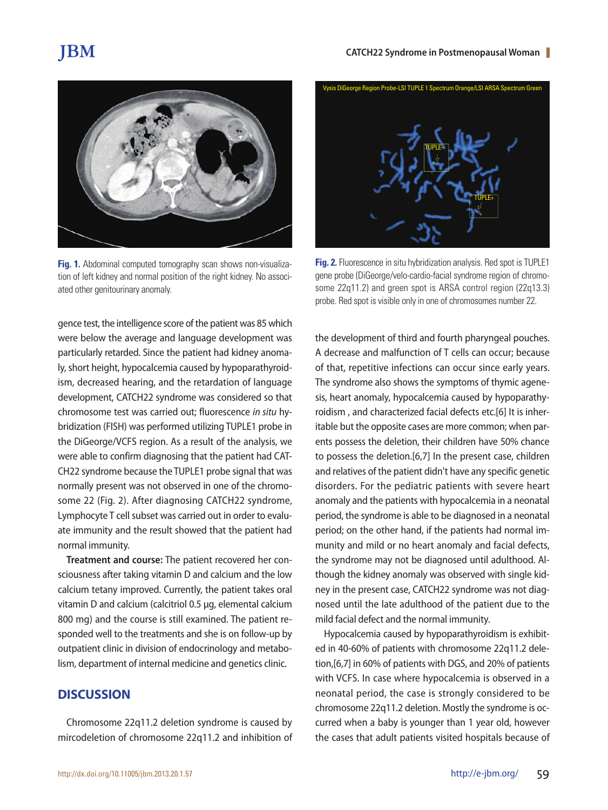# **JBM**



**Fig. 1.** Abdominal computed tomography scan shows non-visualization of left kidney and normal position of the right kidney. No associated other genitourinary anomaly.

gence test, the intelligence score of the patient was 85 which were below the average and language development was particularly retarded. Since the patient had kidney anomaly, short height, hypocalcemia caused by hypoparathyroidism, decreased hearing, and the retardation of language development, CATCH22 syndrome was considered so that chromosome test was carried out; fluorescence *in situ* hybridization (FISH) was performed utilizing TUPLE1 probe in the DiGeorge/VCFS region. As a result of the analysis, we were able to confirm diagnosing that the patient had CAT-CH22 syndrome because the TUPLE1 probe signal that was normally present was not observed in one of the chromosome 22 (Fig. 2). After diagnosing CATCH22 syndrome, Lymphocyte T cell subset was carried out in order to evaluate immunity and the result showed that the patient had normal immunity.

**Treatment and course:** The patient recovered her consciousness after taking vitamin D and calcium and the low calcium tetany improved. Currently, the patient takes oral vitamin D and calcium (calcitriol 0.5 µg, elemental calcium 800 mg) and the course is still examined. The patient responded well to the treatments and she is on follow-up by outpatient clinic in division of endocrinology and metabolism, department of internal medicine and genetics clinic.

# **DISCUSSION**

Chromosome 22q11.2 deletion syndrome is caused by mircodeletion of chromosome 22q11.2 and inhibition of



**Fig. 2.** Fluorescence in situ hybridization analysis. Red spot is TUPLE1 gene probe (DiGeorge/velo-cardio-facial syndrome region of chromosome 22q11.2) and green spot is ARSA control region (22q13.3) probe. Red spot is visible only in one of chromosomes number 22.

the development of third and fourth pharyngeal pouches. A decrease and malfunction of T cells can occur; because of that, repetitive infections can occur since early years. The syndrome also shows the symptoms of thymic agenesis, heart anomaly, hypocalcemia caused by hypoparathyroidism , and characterized facial defects etc.[6] It is inheritable but the opposite cases are more common; when parents possess the deletion, their children have 50% chance to possess the deletion.[6,7] In the present case, children and relatives of the patient didn't have any specific genetic disorders. For the pediatric patients with severe heart anomaly and the patients with hypocalcemia in a neonatal period, the syndrome is able to be diagnosed in a neonatal period; on the other hand, if the patients had normal immunity and mild or no heart anomaly and facial defects, the syndrome may not be diagnosed until adulthood. Although the kidney anomaly was observed with single kidney in the present case, CATCH22 syndrome was not diagnosed until the late adulthood of the patient due to the mild facial defect and the normal immunity.

Hypocalcemia caused by hypoparathyroidism is exhibited in 40-60% of patients with chromosome 22q11.2 deletion,[6,7] in 60% of patients with DGS, and 20% of patients with VCFS. In case where hypocalcemia is observed in a neonatal period, the case is strongly considered to be chromosome 22q11.2 deletion. Mostly the syndrome is occurred when a baby is younger than 1 year old, however the cases that adult patients visited hospitals because of